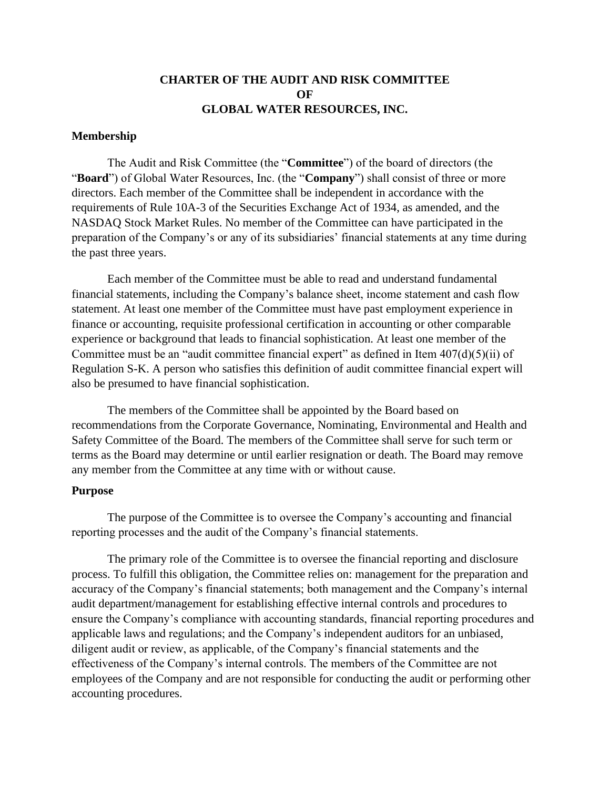# **CHARTER OF THE AUDIT AND RISK COMMITTEE OF GLOBAL WATER RESOURCES, INC.**

#### **Membership**

The Audit and Risk Committee (the "**Committee**") of the board of directors (the "Board") of Global Water Resources, Inc. (the "Company") shall consist of three or more directors. Each member of the Committee shall be independent in accordance with the requirements of Rule 10A-3 of the Securities Exchange Act of 1934, as amended, and the NASDAQ Stock Market Rules. No member of the Committee can have participated in the preparation of the Company's or any of its subsidiaries' financial statements at any time during the past three years.

Each member of the Committee must be able to read and understand fundamental financial statements, including the Company's balance sheet, income statement and cash flow statement. At least one member of the Committee must have past employment experience in finance or accounting, requisite professional certification in accounting or other comparable experience or background that leads to financial sophistication. At least one member of the Committee must be an "audit committee financial expert" as defined in Item  $407(d)(5)(ii)$  of Regulation S-K. A person who satisfies this definition of audit committee financial expert will also be presumed to have financial sophistication.

The members of the Committee shall be appointed by the Board based on recommendations from the Corporate Governance, Nominating, Environmental and Health and Safety Committee of the Board. The members of the Committee shall serve for such term or terms as the Board may determine or until earlier resignation or death. The Board may remove any member from the Committee at any time with or without cause.

#### **Purpose**

The purpose of the Committee is to oversee the Company's accounting and financial reporting processes and the audit of the Company's financial statements.

The primary role of the Committee is to oversee the financial reporting and disclosure process. To fulfill this obligation, the Committee relies on: management for the preparation and accuracy of the Company's financial statements; both management and the Company's internal audit department/management for establishing effective internal controls and procedures to ensure the Company's compliance with accounting standards, financial reporting procedures and applicable laws and regulations; and the Company's independent auditors for an unbiased, diligent audit or review, as applicable, of the Company's financial statements and the effectiveness of the Company's internal controls. The members of the Committee are not employees of the Company and are not responsible for conducting the audit or performing other accounting procedures.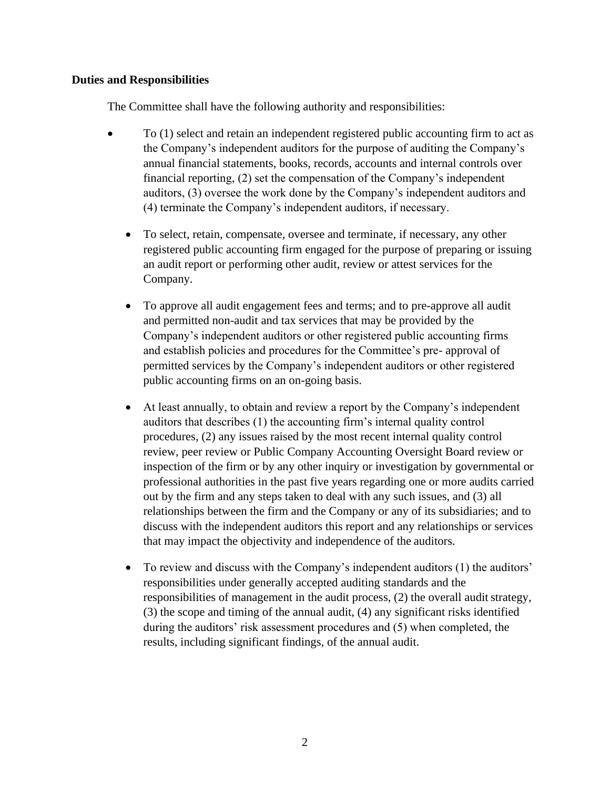### **Duties and Responsibilities**

The Committee shall have the following authority and responsibilities:

- To (1) select and retain an independent registered public accounting firm to act as the Company's independent auditors for the purpose of auditing the Company's annual financial statements, books, records, accounts and internal controls over financial reporting, (2) set the compensation of the Company's independent auditors, (3) oversee the work done by the Company's independent auditors and (4) terminate the Company's independent auditors, if necessary.
	- To select, retain, compensate, oversee and terminate, if necessary, any other registered public accounting firm engaged for the purpose of preparing or issuing an audit report or performing other audit, review or attest services for the Company.
	- To approve all audit engagement fees and terms; and to pre-approve all audit and permitted non-audit and tax services that may be provided by the Company's independent auditors or other registered public accounting firms and establish policies and procedures for the Committee's pre- approval of permitted services by the Company's independent auditors or other registered public accounting firms on an on-going basis.
	- At least annually, to obtain and review a report by the Company's independent auditors that describes (1) the accounting firm's internal quality control procedures, (2) any issues raised by the most recent internal quality control review, peer review or Public Company Accounting Oversight Board review or inspection of the firm or by any other inquiry or investigation by governmental or professional authorities in the past five years regarding one or more audits carried out by the firm and any steps taken to deal with any such issues, and (3) all relationships between the firm and the Company or any of its subsidiaries; and to discuss with the independent auditors this report and any relationships or services that may impact the objectivity and independence of the auditors.
	- To review and discuss with the Company's independent auditors (1) the auditors' responsibilities under generally accepted auditing standards and the responsibilities of management in the audit process, (2) the overall audit strategy, (3) the scope and timing of the annual audit, (4) any significant risks identified during the auditors' risk assessment procedures and (5) when completed, the results, including significant findings, of the annual audit.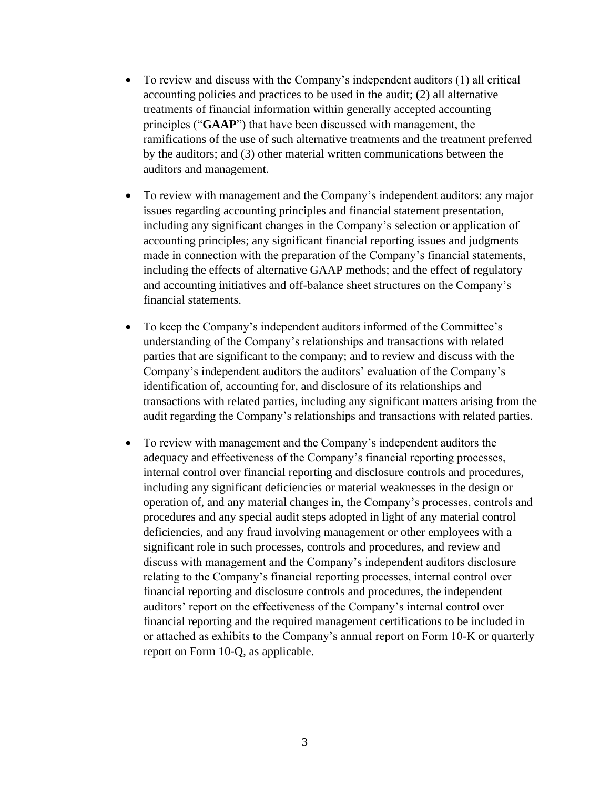- To review and discuss with the Company's independent auditors (1) all critical accounting policies and practices to be used in the audit; (2) all alternative treatments of financial information within generally accepted accounting principles ("**GAAP**") that have been discussed with management, the ramifications of the use of such alternative treatments and the treatment preferred by the auditors; and (3) other material written communications between the auditors and management.
- To review with management and the Company's independent auditors: any major issues regarding accounting principles and financial statement presentation, including any significant changes in the Company's selection or application of accounting principles; any significant financial reporting issues and judgments made in connection with the preparation of the Company's financial statements, including the effects of alternative GAAP methods; and the effect of regulatory and accounting initiatives and off-balance sheet structures on the Company's financial statements.
- To keep the Company's independent auditors informed of the Committee's understanding of the Company's relationships and transactions with related parties that are significant to the company; and to review and discuss with the Company's independent auditors the auditors' evaluation of the Company's identification of, accounting for, and disclosure of its relationships and transactions with related parties, including any significant matters arising from the audit regarding the Company's relationships and transactions with related parties.
- To review with management and the Company's independent auditors the adequacy and effectiveness of the Company's financial reporting processes, internal control over financial reporting and disclosure controls and procedures, including any significant deficiencies or material weaknesses in the design or operation of, and any material changes in, the Company's processes, controls and procedures and any special audit steps adopted in light of any material control deficiencies, and any fraud involving management or other employees with a significant role in such processes, controls and procedures, and review and discuss with management and the Company's independent auditors disclosure relating to the Company's financial reporting processes, internal control over financial reporting and disclosure controls and procedures, the independent auditors' report on the effectiveness of the Company's internal control over financial reporting and the required management certifications to be included in or attached as exhibits to the Company's annual report on Form 10-K or quarterly report on Form 10-Q, as applicable.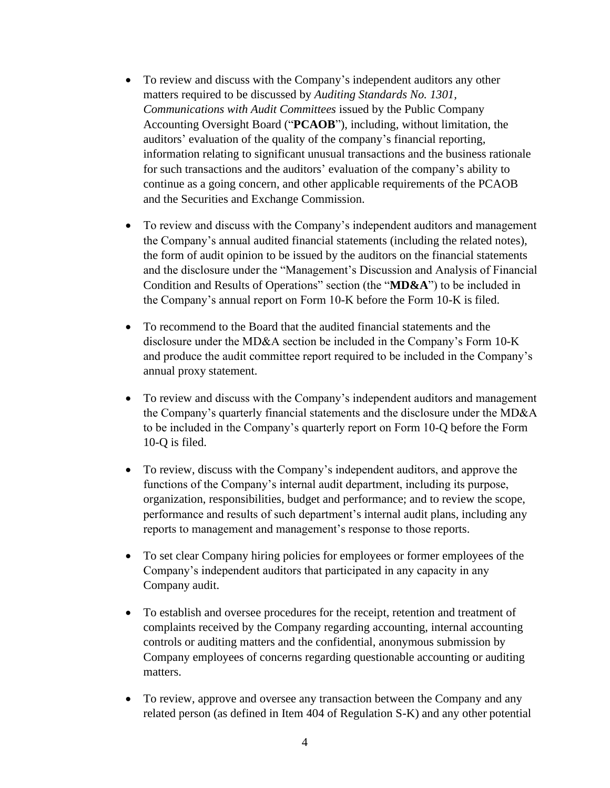- To review and discuss with the Company's independent auditors any other matters required to be discussed by *Auditing Standards No. 1301, Communications with Audit Committees* issued by the Public Company Accounting Oversight Board ("**PCAOB**"), including, without limitation, the auditors' evaluation of the quality of the company's financial reporting, information relating to significant unusual transactions and the business rationale for such transactions and the auditors' evaluation of the company's ability to continue as a going concern, and other applicable requirements of the PCAOB and the Securities and Exchange Commission.
- To review and discuss with the Company's independent auditors and management the Company's annual audited financial statements (including the related notes), the form of audit opinion to be issued by the auditors on the financial statements and the disclosure under the "Management's Discussion and Analysis of Financial Condition and Results of Operations" section (the "**MD&A**") to be included in the Company's annual report on Form 10-K before the Form 10-K is filed.
- To recommend to the Board that the audited financial statements and the disclosure under the MD&A section be included in the Company's Form 10-K and produce the audit committee report required to be included in the Company's annual proxy statement.
- To review and discuss with the Company's independent auditors and management the Company's quarterly financial statements and the disclosure under the MD&A to be included in the Company's quarterly report on Form 10-Q before the Form 10-Q is filed.
- To review, discuss with the Company's independent auditors, and approve the functions of the Company's internal audit department, including its purpose, organization, responsibilities, budget and performance; and to review the scope, performance and results of such department's internal audit plans, including any reports to management and management's response to those reports.
- To set clear Company hiring policies for employees or former employees of the Company's independent auditors that participated in any capacity in any Company audit.
- To establish and oversee procedures for the receipt, retention and treatment of complaints received by the Company regarding accounting, internal accounting controls or auditing matters and the confidential, anonymous submission by Company employees of concerns regarding questionable accounting or auditing matters.
- To review, approve and oversee any transaction between the Company and any related person (as defined in Item 404 of Regulation S-K) and any other potential